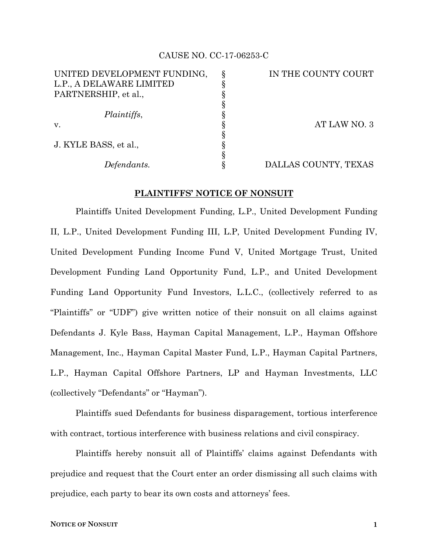#### CAUSE NO. CC-17-06253-C

| UNITED DEVELOPMENT FUNDING, | IN THE COUNTY COURT  |
|-----------------------------|----------------------|
| L.P., A DELAWARE LIMITED    |                      |
| PARTNERSHIP, et al.,        |                      |
|                             |                      |
| Plaintiffs,                 |                      |
| V.                          | AT LAW NO. 3         |
|                             |                      |
| J. KYLE BASS, et al.,       |                      |
|                             |                      |
| Defendants.                 | DALLAS COUNTY, TEXAS |
|                             |                      |

### **PLAINTIFFS' NOTICE OF NONSUIT**

Plaintiffs United Development Funding, L.P., United Development Funding II, L.P., United Development Funding III, L.P, United Development Funding IV, United Development Funding Income Fund V, United Mortgage Trust, United Development Funding Land Opportunity Fund, L.P., and United Development Funding Land Opportunity Fund Investors, L.L.C., (collectively referred to as "Plaintiffs" or "UDF") give written notice of their nonsuit on all claims against Defendants J. Kyle Bass, Hayman Capital Management, L.P., Hayman Offshore Management, Inc., Hayman Capital Master Fund, L.P., Hayman Capital Partners, L.P., Hayman Capital Offshore Partners, LP and Hayman Investments, LLC (collectively "Defendants" or "Hayman").

Plaintiffs sued Defendants for business disparagement, tortious interference with contract, tortious interference with business relations and civil conspiracy.

Plaintiffs hereby nonsuit all of Plaintiffs' claims against Defendants with prejudice and request that the Court enter an order dismissing all such claims with prejudice, each party to bear its own costs and attorneys' fees.